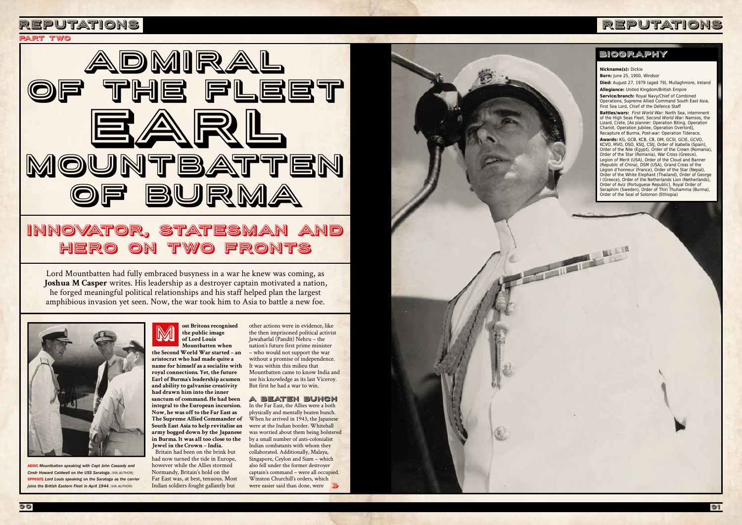





ABOVE *Mountbatten speaking with Capt John Cassady and Cmdr Howard Caldwell on the USS Saratoga. (VIA AUTHOR)* OPPOSITE *Lord Louis speaking on the Saratoga as the carrier joins the British Eastern Fleet in April 1944. (VIA AUTHOR)*

**the Second World War started – an aristocrat who had made quite a name for himself as a socialite with royal connections. Yet, the future Earl of Burma's leadership acumen and ability to galvanise creativity had drawn him into the inner sanctum of command. He had been integral to the European incursion. Now, he was off to the Far East as The Supreme Allied Commander of South East Asia to help revitalise an army bogged down by the Japanese in Burma. It was all too close to the Jewel in the Crown – India.** 

#### **ost Britons recognised the public image of Lord Louis Mountbatten when**  M

Britain had been on the brink but had now turned the tide in Europe, however while the Allies stormed Normandy, Britain's hold on the Far East was, at best, tenuous. Most Indian soldiers fought gallantly but

Lord Mountbatten had fully embraced busyness in a war he knew was coming, as **Joshua M Casper** writes. His leadership as a destroyer captain motivated a nation, he forged meaningful political relationships and his staff helped plan the largest amphibious invasion yet seen. Now, the war took him to Asia to battle a new foe.



# Innovator, statesman and hero on two fronts

### PArt two

other actions were in evidence, like the then imprisoned political activist Jawaharlal (Pandit) Nehru – the nation's future first prime minister – who would not support the war without a promise of independence. It was within this milieu that Mountbatten came to know India and use his knowledge as its last Viceroy. But first he had a war to win.

### A BEATEN BUNCH

were easier said than done, were In the Far East, the Allies were a both physically and mentally beaten bunch. When he arrived in 1943, the Japanese were at the Indian border. Whitehall was worried about them being bolstered by a small number of anti-colonialist Indian combatants with whom they collaborated. Additionally, Malaya, Singapore, Ceylon and Siam – which also fell under the former destroyer captain's command – were all occupied. Winston Churchill's orders, which

**Nickname(s):** Dickie

**Born:** June 25, 1900, Windsor

**Died:** August 27, 1979 (aged 79), Mullaghmore, Ireland **Allegiance:** United Kingdom/British Empire

**Service/branch:** Royal Navy/Chief of Combined Operations, Supreme Allied Command South East Asia, First Sea Lord, Chief of the Defence Staff

**Battles/wars:** *First World War:* North Sea, internment of the High Seas Fleet, *Second World War:* Namsos, the Lizard, Crete, [As planner: Operation Biting, Operation Chariot, Operation Jubilee, Operation Overlord], Recapture of Burma, *Post-war:* Operation Tiderace,

**Awards:** KG, GCB, KCB, CB, OM, GCSI, GCIE, GCVO, KCVO, MVO, DSO, KStJ, CStJ, Order of Isabella (Spain), Order of the Nile (Egypt), Order of the Crown (Romania), Order of the Star (Romania), War Cross (Greece), Legion of Merit (USA), Order of the Cloud and Banner (Republic of China), DSM (USA), Grand Cross of the Légion d'honneur (France), Order of the Star (Nepal), Order of the White Elephant (Thailand), Order of George I (Greece), Order of the Netherlands Lion (Netherlands), Order of Aviz (Portuguese Republic), Royal Order of Seraphim (Sweden), Order of Thiri Thuhamma (Burma), Order of the Seal of Solomon (Ethiopia)

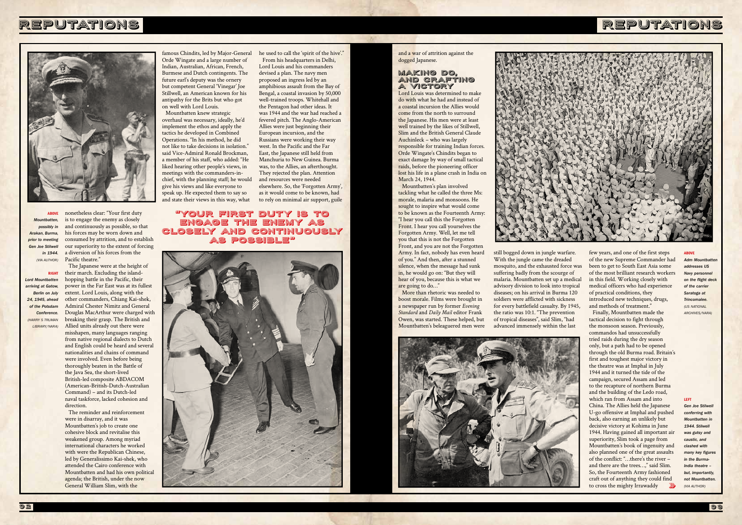# REPUTATIONS



# REPUTATIONS

*Adm Mountha addresses US Navy personnel on the flight deck of the carrier Saratoga at Trincomalee. (US NATIONAL ARCHIVES/NARA)*

#### LEFT

Gen Joe Stilwel *conferring with Mountbatten in 1944. Stilwell was gutsy and caustic, and clashed with many key figures in the Burma-India theatre – but, importantly, not Mountbatten. (VIA AUTHOR)*

and a war of attrition against the dogged Japanese.

### MAKING DO, AND CRAFTING A VICTORY

Lord Louis was determined to make do with what he had and instead of a coastal incursion the Allies would come from the north to surround the Japanese. His men were at least well trained by the likes of Stillwell, Slim and the British General Claude Auchinleck – who was largely responsible for training Indian forces. Orde Wingate's Chindits began to exact damage by way of small tactical raids, before the pioneering officer lost his life in a plane crash in India on March 24, 1944.

Mountbatten's plan involved tackling what he called the three Ms: morale, malaria and monsoons. He sought to inspire what would come to be known as the Fourteenth Army: "I hear you call this the Forgotten Front. I hear you call yourselves the Forgotten Army. Well, let me tell you that this is not the Forgotten Front, and you are not the Forgotten Army. In fact, nobody has even heard of you." And then, after a stunned silence, when the message had sunk in, he would go on: "But they will hear of you, because this is what we are going to do…"

> Finally, Mountbatten made the tactical decision to fight through the monsoon season. Previously, commandos had unsuccessfully tried raids during the dry season only, but a path had to be opened through the old Burma road. Britain's first and toughest major victory in the theatre was at Imphal in July 1944 and it turned the tide of the campaign, secured Assam and led to the recapture of northern Burma and the building of the Ledo road, which ran from Assam and into China. The Allies held the Japanese U-go offensive at Imphal and pushed back, also earning an unlikely but decisive victory at Kohima in June 1944. Having gained all important air superiority, Slim took a page from Mountbatten's book of ingenuity and also planned one of the great assaults of the conflict: "…there's the river – and there are the trees…," said Slim. So, the Fourteenth Army fashioned craft out of anything they could find to cross the mighty Irrawaddy **»**

#### **ABOVE**

More than rhetoric was needed to boost morale. Films were brought in a newspaper run by former *Evening Standard* and *Daily Mail* editor Frank Owen, was started. These helped, but Mountbatten's beleaguered men were



still bogged down in jungle warfare. With the jungle came the dreaded mosquito, and the exhausted force was suffering badly from the scourge of malaria. Mountbatten set up a medical advisory division to look into tropical diseases; on his arrival in Burma 120 soldiers were afflicted with sickness for every battlefield casualty. By 1945, the ratio was 10:1. "The prevention of tropical diseases", said Slim, "had advanced immensely within the last



few years, and one of the first steps of the new Supreme Commander had been to get to South East Asia some of the most brilliant research workers in this field. Working closely with medical officers who had experience of practical conditions, they introduced new techniques, drugs, and methods of treatment."

## "Your first duty is to engage the enemy as closely and continuously as possible"



he used to call the 'spirit of the hive'."

From his headquarters in Delhi, Lord Louis and his commanders devised a plan. The navy men proposed an ingress led by an amphibious assault from the Bay of Bengal, a coastal invasion by 50,000 well-trained troops. Whitehall and the Pentagon had other ideas. It was 1944 and the war had reached a fevered pitch. The Anglo-American Allies were just beginning their European incursion, and the Russians were working their way west. In the Pacific and the Far East, the Japanese still held from Manchuria to New Guinea. Burma was, to the Allies, an afterthought. They rejected the plan. Attention and resources were needed elsewhere. So, the 'Forgotten Army', as it would come to be known, had to rely on minimal air support, guile

ABOVE *Mountbatten, possibly in Arakan, Burma, prior to meeting Gen Joe Stilwell in 1944. (VIA AUTHOR)*

RIGHT Lord Mo *arriving at Gatow, Berlin on July 24, 1945, ahead of the Potsdam Conference. (HARRY S TRUMAN LIBRARY/NARA)*

nonetheless clear: "Your first duty is to engage the enemy as closely and continuously as possible, so that his forces may be worn down and consumed by attrition, and to establish our superiority to the extent of forcing a diversion of his forces from the Pacific theatre."

The Japanese were at the height of their march. Excluding the islandhopping battle in the Pacific, their power in the Far East was at its fullest extent. Lord Louis, along with the other commanders, Chiang Kai-shek, Admiral Chester Nimitz and General Douglas MacArthur were charged with breaking their grasp. The British and Allied units already out there were misshapen, many languages ranging from native regional dialects to Dutch and English could be heard and several nationalities and chains of command were involved. Even before being thoroughly beaten in the Battle of the Java Sea, the short-lived British-led composite ABDACOM (American-British-Dutch-Australian Command) – and its Dutch-led naval taskforce, lacked cohesion and

direction.

The reminder and reinforcement were in disarray, and it was Mountbatten's job to create one cohesive block and revitalise this weakened group. Among myriad international characters he worked with were the Republican Chinese, led by Generalissimo Kai-shek, who attended the Cairo conference with Mountbatten and had his own political agenda; the British, under the now General William Slim, with the

famous Chindits, led by Major-General Orde Wingate and a large number of Indian, Australian, African, French, Burmese and Dutch contingents. The future earl's deputy was the ornery but competent General 'Vinegar' Joe Stillwell, an American known for his antipathy for the Brits but who got on well with Lord Louis.

Mountbatten knew strategic overhaul was necessary, ideally, he'd implement the ethos and apply the tactics he developed in Combined Operations. "In his method, he did not like to take decisions in isolation." said Vice-Admiral Ronald Brockman, a member of his staff, who added: "He liked hearing other people's views, in meetings with the commanders-inchief, with the planning staff; he would give his views and like everyone to speak up. He expected them to say so and state their views in this way, what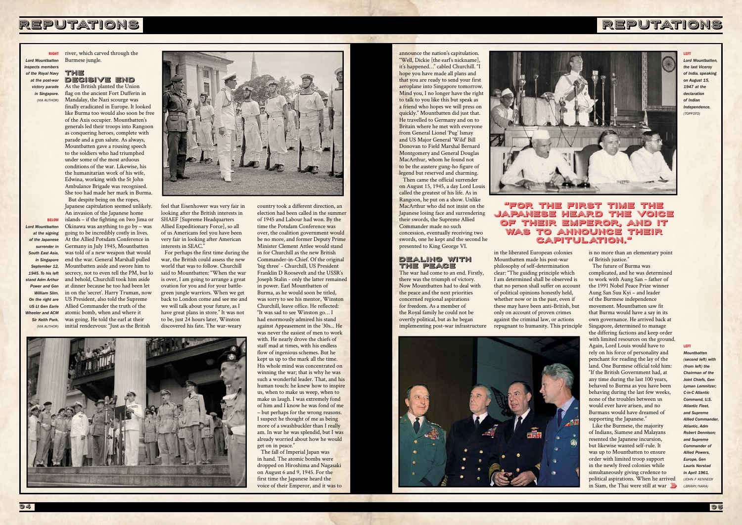# REPUTATIONS

RIGHT *Lord Mountbatten inspects member of the Royal Navy at the post-war victory parade* 

> *in Singapore. (VIA AUTHOR)*

BELOW *Lord Mountbatten at the signing of the Japanese surrender in South East Asia, in Singapore September 12, 1945. To his left stand Adm Arthur Power and Gen William Slim. On the right are US Lt Gen Earle Wheeler and ACM Sir Keith Park. (VIA AUTHOR)*



#### LEFT

*Lord Mountbatten, the last Viceroy of India, speaking on August 15, 1947 at the declaration of Indian Independence. (TOPFOTO)*

#### LEFT

*Mountbatten (second left) with (from left) the Chairman of the Joint Chiefs, Gen*  Lyman Lemnitze *C-in-C Atlantic Command, U.S. Atlantic Fleet, and Supreme*  **Allied Commander** *Atlantic, Adm Robert Dennison; and Supreme Commander of Allied Powers, Europe, Gen Lauris Norstad in April 1961. (JOHN F KENNEDY LBRARY/NARA)*

river, which carved through the Burmese jungle.

#### THE DECISIVE END

As the British planted the Union flag on the ancient Fort Dufferin in Mandalay, the Nazi scourge was finally eradicated in Europe. It looked like Burma too would also soon be free of the Axis occupier. Mountbatten's generals led their troops into Rangoon as conquering heroes, complete with parade and a gun salute. As always, Mountbatten gave a rousing speech to the soldiers who had triumphed under some of the most arduous conditions of the war. Likewise, his the humanitarian work of his wife, Edwina, working with the St John Ambulance Brigade was recognised. She too had made her mark in Burma. But despite being on the ropes,

Japanese capitulation seemed unlikely. An invasion of the Japanese home islands – if the fighting on Iwo Jima or Okinawa was anything to go by – was going to be incredibly costly in lives. At the Allied Potsdam Conference in Germany in July 1945, Mountbatten was told of a new weapon that would end the war. General Marshall pulled Mountbatten aside and swore him to secrecy, not to even tell the PM, but lo and behold, Churchill took him aside at dinner because he too had been let in on the 'secret'. Harry Truman, now US President, also told the Supreme Allied Commander the truth of the atomic bomb, when and where it was going. He told the earl at their initial rendezvous: "Just as the British



feel that Eisenhower was very fair in looking after the British interests in SHAEF [Supreme Headquarters Allied Expeditionary Force], so all of us Americans feel you have been very fair in looking after American interests in SEAC."

For perhaps the first time during the war, the British could assess the new world that was to follow. Churchill said to Mountbatten: "When the war is over, I am going to arrange a great ovation for you and for your battlegreen jungle warriors. When we get back to London come and see me and we will talk about your future, as I have great plans in store." It was not to be, just 24 hours later, Winston discovered his fate. The war-weary

country took a different direction, an election had been called in the summer

> Like the Burmese, the majority of Indians, Siamese and Malayans resented the Japanese incursion, but likewise wanted self-rule. It was up to Mountbatten to ensure order with limited troop support in the newly freed colonies while simultaneously giving credence to political aspirations. When he arrived in Siam, the Thai were still at war

of 1945 and Labour had won. By the time the Potsdam Conference was over, the coalition government would be no more, and former Deputy Prime Minister Clement Attlee would stand in for Churchill as the new British Commander-in-Chief. Of the original 'big three' - Churchill, US President Franklin D Roosevelt and the USSR's Joseph Stalin - only the latter remained in power. Earl Mountbatten of Burma, as he would soon be titled, was sorry to see his mentor, Winston Churchill, leave office. He reflected: "It was sad to see Winston go… I had enormously admired his stand against Appeasement in the '30s... He was never the easiest of men to work with. He nearly drove the chiefs of staff mad at times, with his endless flow of ingenious schemes. But he kept us up to the mark all the time. His whole mind was concentrated on winning the war; that is why he was such a wonderful leader. That, and his human touch: he knew how to inspire us, when to make us weep, when to make us laugh. I was extremely fond of him and I know he was fond of me – but perhaps for the wrong reasons. I suspect he thought of me as being more of a swashbuckler than I really am. In war he was splendid, but I was already worried about how he would get on in peace." The fall of Imperial Japan was

in hand. The atomic bombs were dropped on Hiroshima and Nagasaki on August 6 and 9, 1945. For the first time the Japanese heard the voice of their Emperor, and it was to

announce the nation's capitulation. "Well, Dickie [the earl's nickname], it's happened…" cabled Churchill. "I hope you have made all plans and that you are ready to send your first aeroplane into Singapore tomorrow. Mind you, I no longer have the right to talk to you like this but speak as a friend who hopes we will press on quickly." Mountbatten did just that. He travelled to Germany and on to Britain where he met with everyone from General Lionel 'Pug' Ismay and US Major General 'Wild' Bill Donovan to Field Marshal Bernard Montgomery and General Douglas MacArthur, whom he found not to be the austere gung-ho figure of legend but reserved and charming. Then came the official surrender

on August 15, 1945, a day Lord Louis called the greatest of his life. As in Rangoon, he put on a show. Unlike MacArthur who did not insist on the Japanese losing face and surrendering their swords, the Supreme Allied Commander made no such concession, eventually receiving two swords, one he kept and the second he presented to King George VI.

### DEALING WITH THE PEACE

The war had come to an end. Firstly, there was the triumph of victory. Now Mountbatten had to deal with the peace and the next priorities concerned regional aspirations for freedom. As a member of the Royal family he could not be overtly political, but as he began implementing post-war infrastructure



in the liberated European colonies Mountbatten made his post-war philosophy of self-determination clear: "The guiding principle which I am determined shall be observed is that no person shall suffer on account of political opinions honestly held, whether now or in the past, even if these may have been anti-British, but only on account of proven crimes against the criminal law, or actions repugnant to humanity. This principle





94 and the contract of the contract of the contract of the contract of the contract of the contract of the contract of the contract of the contract of the contract of the contract of th

is no more than an elementary point of British justice."

The future of Burma was complicated, and he was determined to work with Aung San – father of the 1991 Nobel Peace Prize winner Aung San Suu Kyi – and leader of the Burmese independence movement. Mountbatten saw fit that Burma would have a say in its own governance. He arrived back at Singapore, determined to manage the differing factions and keep order with limited resources on the ground. Again, Lord Louis would have to rely on his force of personality and penchant for reading the lay of the land. One Burmese official told him: "If the British Government had, at any time during the last 100 years, behaved to Burma as you have been behaving during the last few weeks, none of the troubles between us would ever have arisen, and no Burmans would have dreamed of supporting the Japanese."

### "For the first time the Japanese heard the voice of their Emperor, and it was to announce their capitulation."